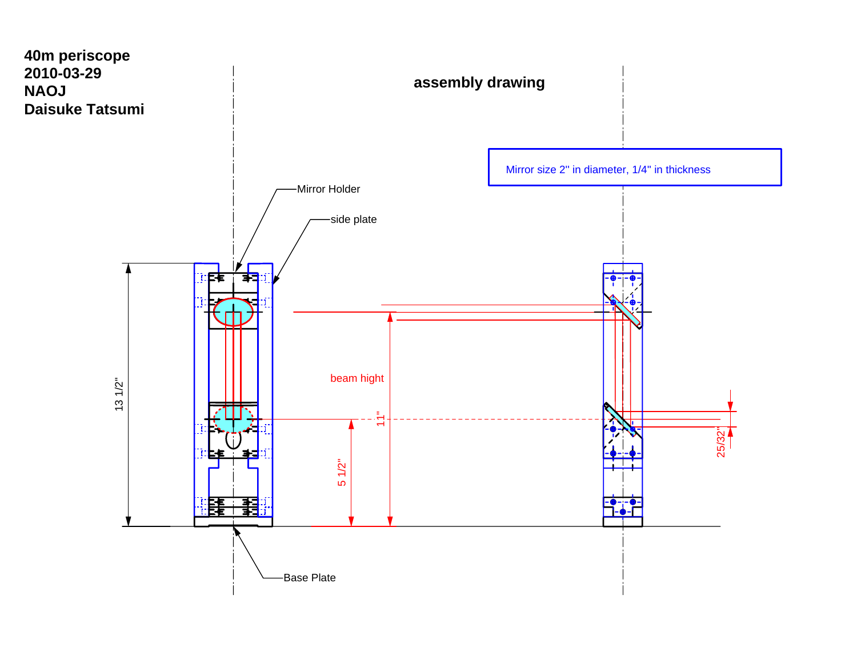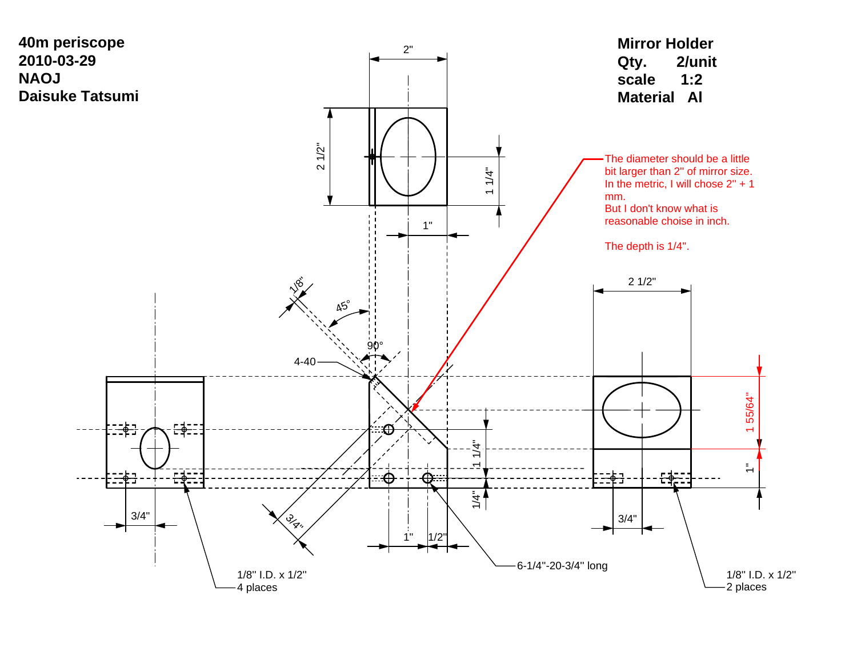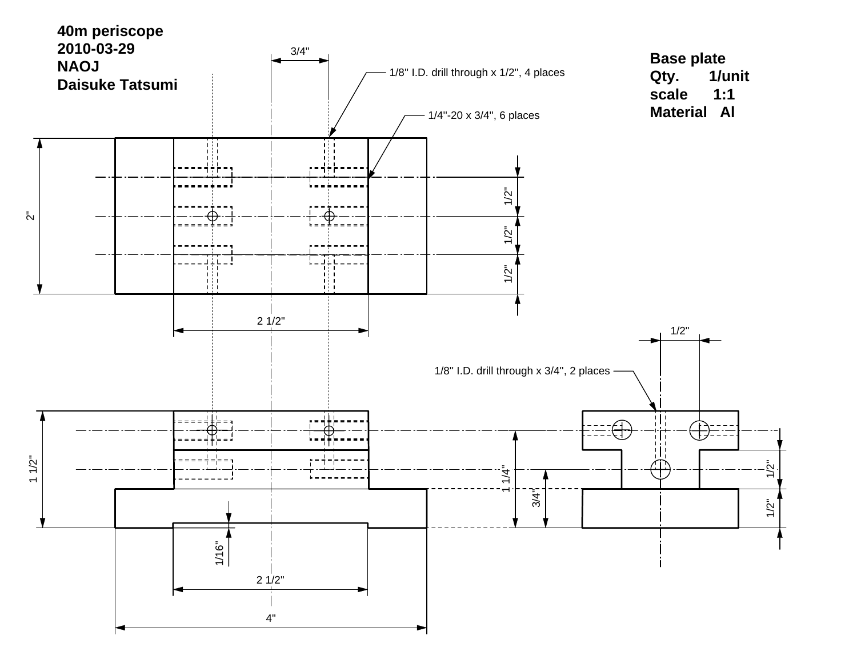